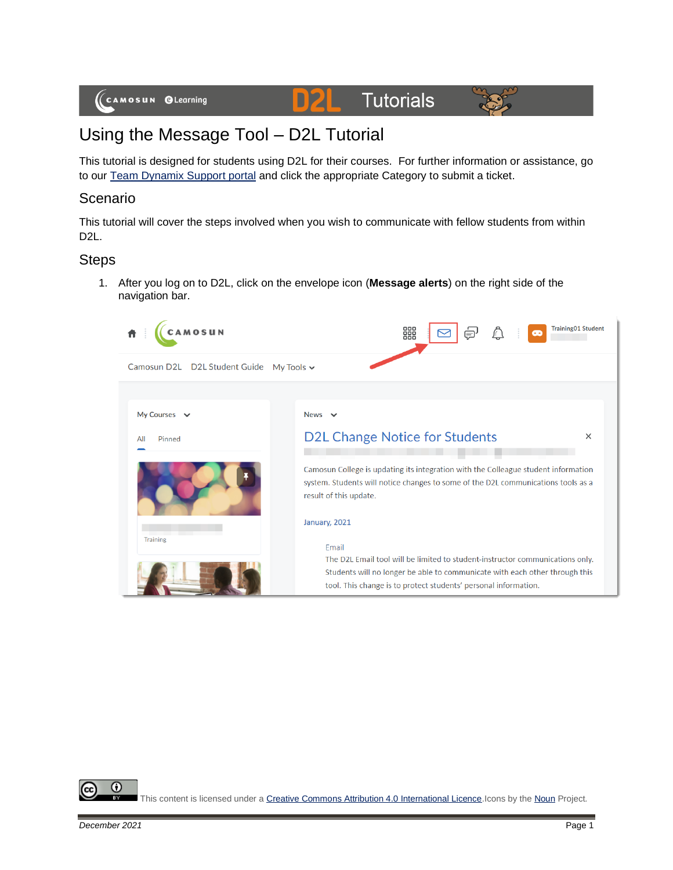#### D21 **Tutorials**



# Using the Message Tool – D2L Tutorial

This tutorial is designed for students using D2L for their courses. For further information or assistance, go to our [Team Dynamix Support portal](https://camosun.teamdynamix.com/TDClient/67/Portal/Requests/ServiceCatalog?CategoryID=524) and click the appropriate Category to submit a ticket.

## Scenario

This tutorial will cover the steps involved when you wish to communicate with fellow students from within D2L.

#### **Steps**

1. After you log on to D2L, click on the envelope icon (**Message alerts**) on the right side of the navigation bar.



⋒

This content is licensed under [a Creative Commons Attribution 4.0 International Licence.I](https://creativecommons.org/licenses/by/4.0/)cons by th[e Noun](https://creativecommons.org/website-icons/) Project.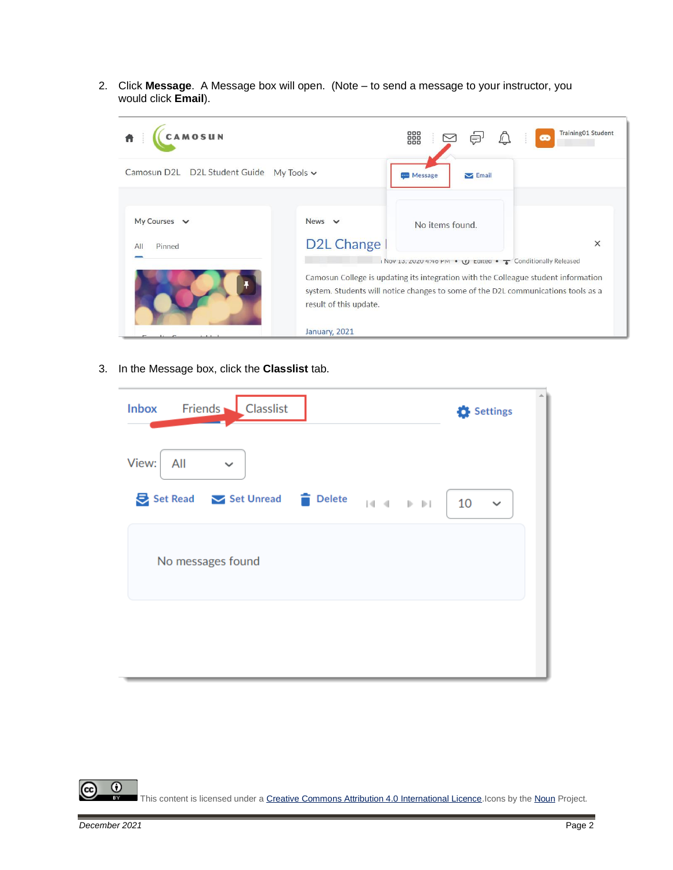2. Click **Message**. A Message box will open. (Note – to send a message to your instructor, you would click **Email**).



3. In the Message box, click the **Classlist** tab.

| Friends Classlist<br><b>Inbox</b> | Settings           |  |  |  |
|-----------------------------------|--------------------|--|--|--|
| View:<br>All<br>$\checkmark$      |                    |  |  |  |
| Set Read Set Unread Delete        | 10<br>$\checkmark$ |  |  |  |
| No messages found                 |                    |  |  |  |
|                                   |                    |  |  |  |

 $\odot$ This content is licensed under [a Creative Commons Attribution 4.0 International Licence.I](https://creativecommons.org/licenses/by/4.0/)cons by th[e Noun](https://creativecommons.org/website-icons/) Project.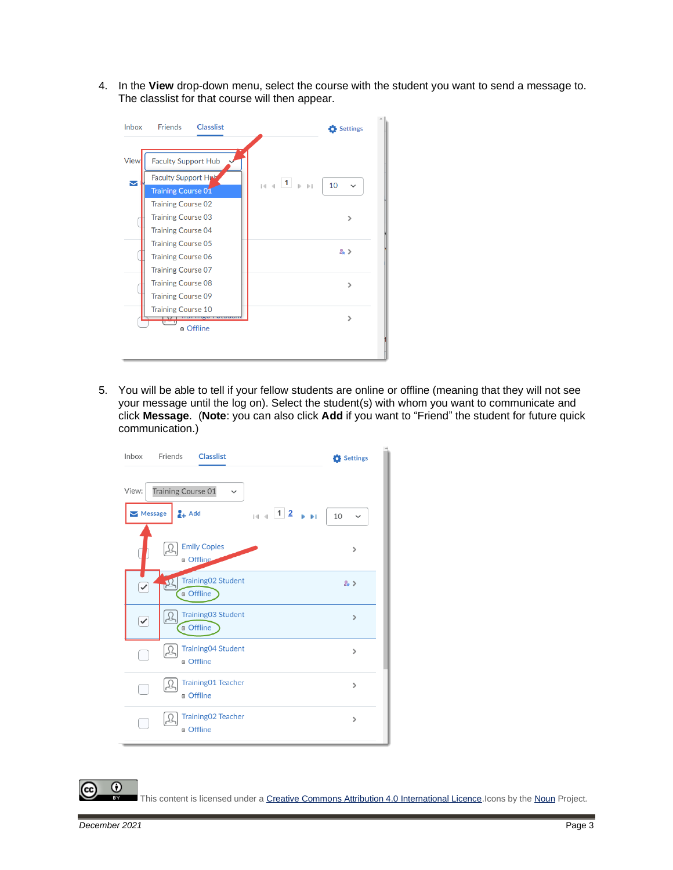4. In the **View** drop-down menu, select the course with the student you want to send a message to. The classlist for that course will then appear.



5. You will be able to tell if your fellow students are online or offline (meaning that they will not see your message until the log on). Select the student(s) with whom you want to communicate and click **Message**. (**Note**: you can also click **Add** if you want to "Friend" the student for future quick communication.)



This content is licensed under [a Creative Commons Attribution 4.0 International Licence.I](https://creativecommons.org/licenses/by/4.0/)cons by th[e Noun](https://creativecommons.org/website-icons/) Project.

0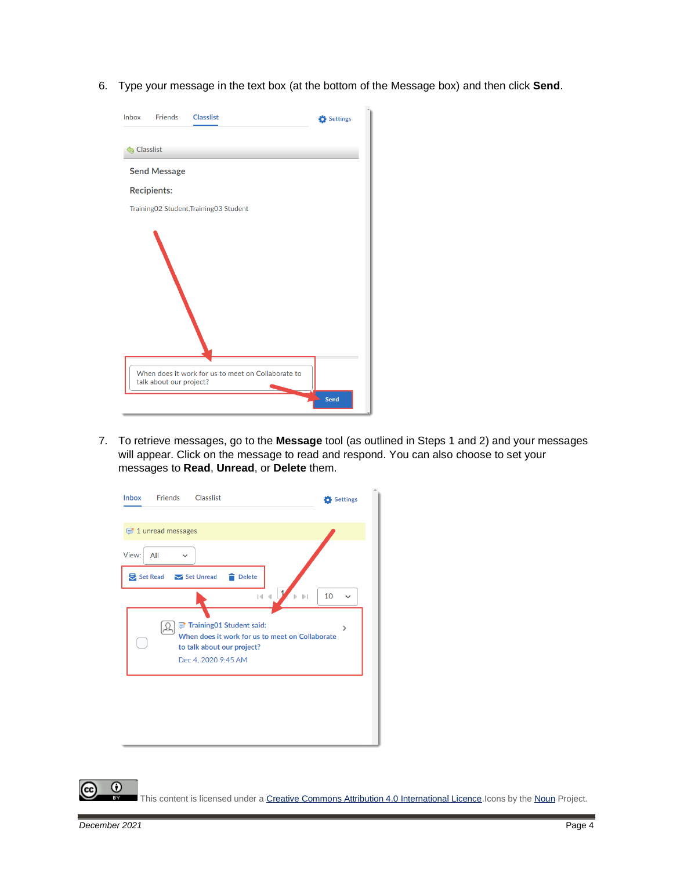6. Type your message in the text box (at the bottom of the Message box) and then click **Send**.



7. To retrieve messages, go to the **Message** tool (as outlined in Steps 1 and 2) and your messages will appear. Click on the message to read and respond. You can also choose to set your messages to **Read**, **Unread**, or **Delete** them.

| <b>Inbox</b> | <b>Friends</b>      | Classlist                                       | Settings             |
|--------------|---------------------|-------------------------------------------------|----------------------|
|              |                     |                                                 |                      |
|              | 1 unread messages   |                                                 |                      |
| View:        | All<br>$\checkmark$ |                                                 |                      |
|              | Set Read Set Unread | <b>Delete</b><br>÷                              |                      |
|              |                     | $\vert \cdot \vert$                             | 10<br>$\mathbb{D}$ 1 |
|              |                     |                                                 |                      |
|              |                     | Training01 Student said:                        | ⋟                    |
|              |                     | When does it work for us to meet on Collaborate |                      |
|              |                     | to talk about our project?                      |                      |
|              |                     | Dec 4, 2020 9:45 AM                             |                      |
|              |                     |                                                 |                      |
|              |                     |                                                 |                      |
|              |                     |                                                 |                      |
|              |                     |                                                 |                      |
|              |                     |                                                 |                      |
|              |                     |                                                 |                      |
|              |                     |                                                 |                      |

This content is licensed under [a Creative Commons Attribution 4.0 International Licence.I](https://creativecommons.org/licenses/by/4.0/)cons by th[e Noun](https://creativecommons.org/website-icons/) Project.

 $\odot$